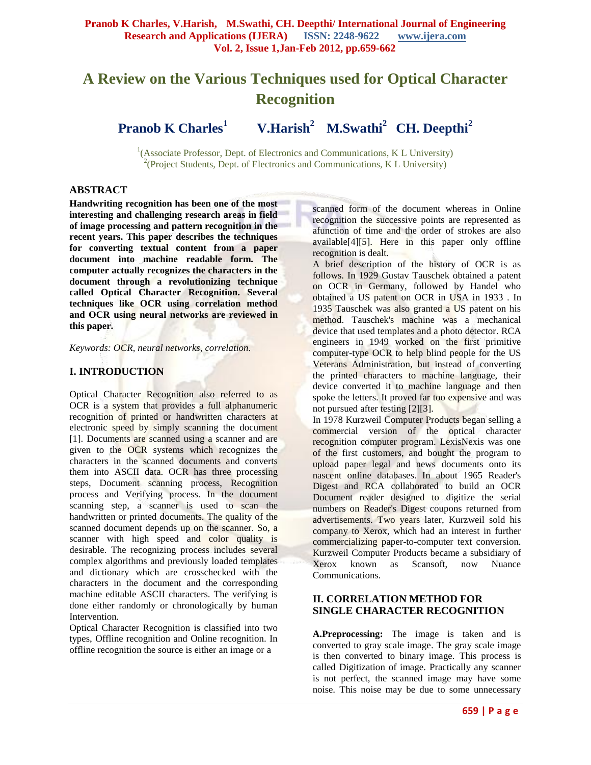# **A Review on the Various Techniques used for Optical Character Recognition**

**Pranob K Charles<sup>1</sup> V.Harish<sup>2</sup> M.Swathi<sup>2</sup> CH. Deepthi<sup>2</sup>**

<sup>1</sup>(Associate Professor, Dept. of Electronics and Communications, K L University) <sup>2</sup>(Project Students, Dept. of Electronics and Communications, K L University)

#### **ABSTRACT**

**Handwriting recognition has been one of the most interesting and challenging research areas in field of image processing and pattern recognition in the recent years. This paper describes the techniques for converting textual content from a paper document into machine readable form. The computer actually recognizes the characters in the document through a revolutionizing technique called Optical Character Recognition. Several techniques like OCR using correlation method and OCR using neural networks are reviewed in this paper.**

*Keywords: OCR, neural networks, correlation.*

# **I. INTRODUCTION**

Optical Character Recognition also referred to as OCR is a system that provides a full alphanumeric recognition of printed or handwritten characters at electronic speed by simply scanning the document [1]. Documents are scanned using a scanner and are given to the OCR systems which recognizes the characters in the scanned documents and converts them into ASCII data. OCR has three processing steps, Document scanning process, Recognition process and Verifying process. In the document scanning step, a scanner is used to scan the handwritten or printed documents. The quality of the scanned document depends up on the scanner. So, a scanner with high speed and color quality is desirable. The recognizing process includes several complex algorithms and previously loaded templates and dictionary which are crosschecked with the characters in the document and the corresponding machine editable ASCII characters. The verifying is done either randomly or chronologically by human Intervention.

Optical Character Recognition is classified into two types, Offline recognition and Online recognition. In offline recognition the source is either an image or a

scanned form of the document whereas in Online recognition the successive points are represented as afunction of time and the order of strokes are also available[4][5]. Here in this paper only offline recognition is dealt.

A brief description of the history of OCR is as follows. In 1929 Gustav Tauschek obtained a patent on OCR in Germany, followed by Handel who obtained a US patent on OCR in USA in 1933 . In 1935 Tauschek was also granted a US patent on his method. Tauschek's machine was a mechanical device that used templates and a photo detector. RCA engineers in 1949 worked on the first primitive computer-type OCR to help blind people for the US Veterans Administration, but instead of converting the printed characters to machine language, their device converted it to machine language and then spoke the letters. It proved far too expensive and was not pursued after testing [2][3].

In 1978 Kurzweil Computer Products began selling a commercial version of the optical character recognition computer program. LexisNexis was one of the first customers, and bought the program to upload paper legal and news documents onto its nascent online databases. In about 1965 Reader's Digest and RCA collaborated to build an OCR Document reader designed to digitize the serial numbers on Reader's Digest coupons returned from advertisements. Two years later, Kurzweil sold his company to Xerox, which had an interest in further commercializing paper-to-computer text conversion. Kurzweil Computer Products became a subsidiary of Xerox known as Scansoft, now Nuance Communications.

# **II. CORRELATION METHOD FOR SINGLE CHARACTER RECOGNITION**

**A.Preprocessing:** The image is taken and is converted to gray scale image. The gray scale image is then converted to binary image. This process is called Digitization of image. Practically any scanner is not perfect, the scanned image may have some noise. This noise may be due to some unnecessary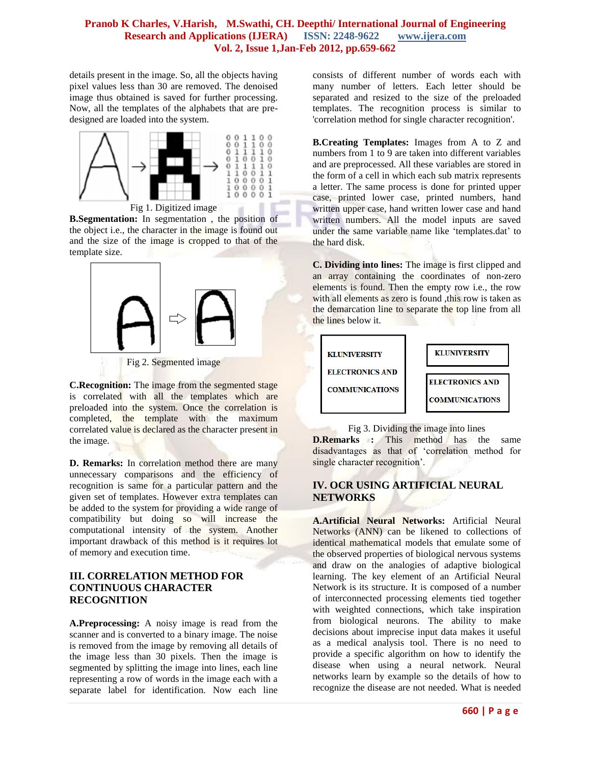#### **Pranob K Charles, V.Harish, M.Swathi, CH. Deepthi/ International Journal of Engineering Research and Applications (IJERA) ISSN: 2248-9622 www.ijera.com Vol. 2, Issue 1,Jan-Feb 2012, pp.659-662**

details present in the image. So, all the objects having pixel values less than 30 are removed. The denoised image thus obtained is saved for further processing. Now, all the templates of the alphabets that are predesigned are loaded into the system.



Fig 1. Digitized image

**B.Segmentation:** In segmentation , the position of the object i.e., the character in the image is found out and the size of the image is cropped to that of the template size.



Fig 2. Segmented image

**C.Recognition:** The image from the segmented stage is correlated with all the templates which are preloaded into the system. Once the correlation is completed, the template with the maximum correlated value is declared as the character present in the image.

**D. Remarks:** In correlation method there are many unnecessary comparisons and the efficiency of recognition is same for a particular pattern and the given set of templates. However extra templates can be added to the system for providing a wide range of compatibility but doing so will increase the computational intensity of the system. Another important drawback of this method is it requires lot of memory and execution time.

## **III. CORRELATION METHOD FOR CONTINUOUS CHARACTER RECOGNITION**

**A.Preprocessing:** A noisy image is read from the scanner and is converted to a binary image. The noise is removed from the image by removing all details of the image less than 30 pixels. Then the image is segmented by splitting the image into lines, each line representing a row of words in the image each with a separate label for identification. Now each line

consists of different number of words each with many number of letters. Each letter should be separated and resized to the size of the preloaded templates. The recognition process is similar to 'correlation method for single character recognition'.

**B.Creating Templates:** Images from A to Z and numbers from 1 to 9 are taken into different variables and are preprocessed. All these variables are stored in the form of a cell in which each sub matrix represents a letter. The same process is done for printed upper case, printed lower case, printed numbers, hand written upper case, hand written lower case and hand written numbers. All the model inputs are saved under the same variable name like 'templates.dat' to the hard disk.

**C. Dividing into lines:** The image is first clipped and an array containing the coordinates of non-zero elements is found. Then the empty row i.e., the row with all elements as zero is found ,this row is taken as the demarcation line to separate the top line from all the lines below it.



Fig 3. Dividing the image into lines **D.Remarks :** This method has the same disadvantages as that of "correlation method for single character recognition'.

# **IV. OCR USING ARTIFICIAL NEURAL NETWORKS**

**A.Artificial Neural Networks:** Artificial Neural Networks (ANN) can be likened to collections of identical mathematical models that emulate some of the observed properties of biological nervous systems and draw on the analogies of adaptive biological learning. The key element of an Artificial Neural Network is its structure. It is composed of a number of interconnected processing elements tied together with weighted connections, which take inspiration from biological neurons. The ability to make decisions about imprecise input data makes it useful as a medical analysis tool. There is no need to provide a specific algorithm on how to identify the disease when using a neural network. Neural networks learn by example so the details of how to recognize the disease are not needed. What is needed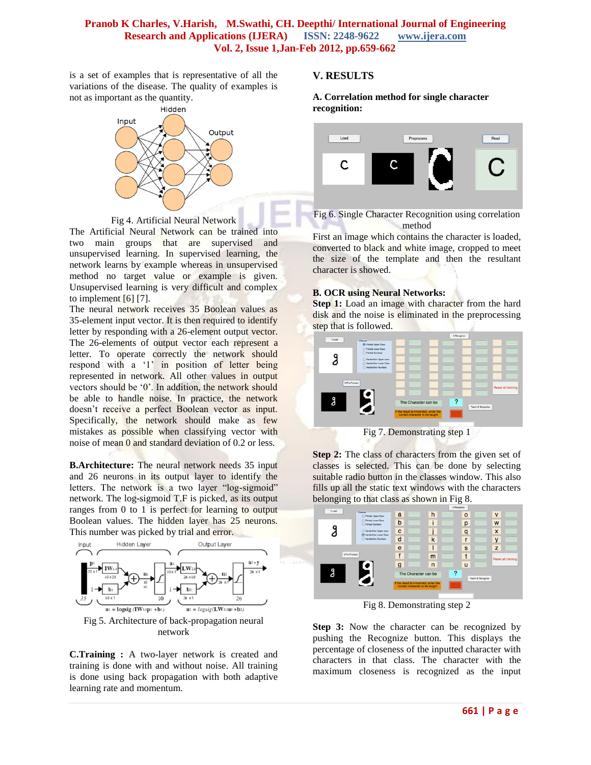#### **Pranob K Charles, V.Harish, M.Swathi, CH. Deepthi/ International Journal of Engineering Research and Applications (IJERA) ISSN: 2248-9622 www.ijera.com Vol. 2, Issue 1,Jan-Feb 2012, pp.659-662**

is a set of examples that is representative of all the variations of the disease. The quality of examples is not as important as the quantity.



Fig 4. Artificial Neural Network

The Artificial Neural Network can be trained into two main groups that are supervised and unsupervised learning. In supervised learning, the network learns by example whereas in unsupervised method no target value or example is given. Unsupervised learning is very difficult and complex to implement [6] [7].

The neural network receives 35 Boolean values as 35-element input vector. It is then required to identify letter by responding with a 26-element output vector. The 26-elements of output vector each represent a letter. To operate correctly the network should respond with a '1' in position of letter being represented in network. All other values in output vectors should be "0". In addition, the network should be able to handle noise. In practice, the network doesn"t receive a perfect Boolean vector as input. Specifically, the network should make as few mistakes as possible when classifying vector with noise of mean 0 and standard deviation of 0.2 or less.

**B.Architecture:** The neural network needs 35 input and 26 neurons in its output layer to identify the letters. The network is a two layer "log-sigmoid" network. The log-sigmoid T.F is picked, as its output ranges from 0 to 1 is perfect for learning to output Boolean values. The hidden layer has 25 neurons. This number was picked by trial and error.



**C.Training :** A two-layer network is created and training is done with and without noise. All training is done using back propagation with both adaptive learning rate and momentum.

#### **V. RESULTS**

**A. Correlation method for single character recognition:**





First an image which contains the character is loaded, converted to black and white image, cropped to meet the size of the template and then the resultant character is showed.

#### **B. OCR using Neural Networks:**

**Step 1:** Load an image with character from the hard disk and the noise is eliminated in the preprocessing step that is followed.



Step 2: The class of characters from the given set of classes is selected. This can be done by selecting suitable radio button in the classes window. This also fills up all the static text windows with the characters belonging to that class as shown in Fig 8.



Fig 8. Demonstrating step 2

**Step 3:** Now the character can be recognized by pushing the Recognize button. This displays the percentage of closeness of the inputted character with characters in that class. The character with the maximum closeness is recognized as the input